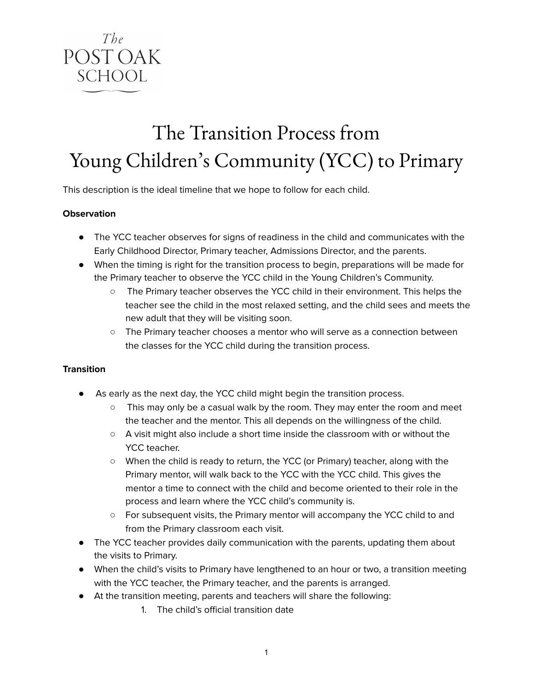

# The Transition Process from Young Children' s Community (YCC) to Primary

This description is the ideal timeline that we hope to follow for each child.

#### **Observation**

- The YCC teacher observes for signs of readiness in the child and communicates with the Early Childhood Director, Primary teacher, Admissions Director, and the parents.
- When the timing is right for the transition process to begin, preparations will be made for the Primary teacher to observe the YCC child in the Young Children's Community.
	- The Primary teacher observes the YCC child in their environment. This helps the teacher see the child in the most relaxed setting, and the child sees and meets the new adult that they will be visiting soon.
	- The Primary teacher chooses a mentor who will serve as a connection between the classes for the YCC child during the transition process.

#### **Transition**

- As early as the next day, the YCC child might begin the transition process.
	- This may only be a casual walk by the room. They may enter the room and meet the teacher and the mentor. This all depends on the willingness of the child.
	- A visit might also include a short time inside the classroom with or without the YCC teacher.
	- When the child is ready to return, the YCC (or Primary) teacher, along with the Primary mentor, will walk back to the YCC with the YCC child. This gives the mentor a time to connect with the child and become oriented to their role in the process and learn where the YCC child's community is.
	- For subsequent visits, the Primary mentor will accompany the YCC child to and from the Primary classroom each visit.
- The YCC teacher provides daily communication with the parents, updating them about the visits to Primary.
- When the child's visits to Primary have lengthened to an hour or two, a transition meeting with the YCC teacher, the Primary teacher, and the parents is arranged.
- At the transition meeting, parents and teachers will share the following:
	- 1. The child's official transition date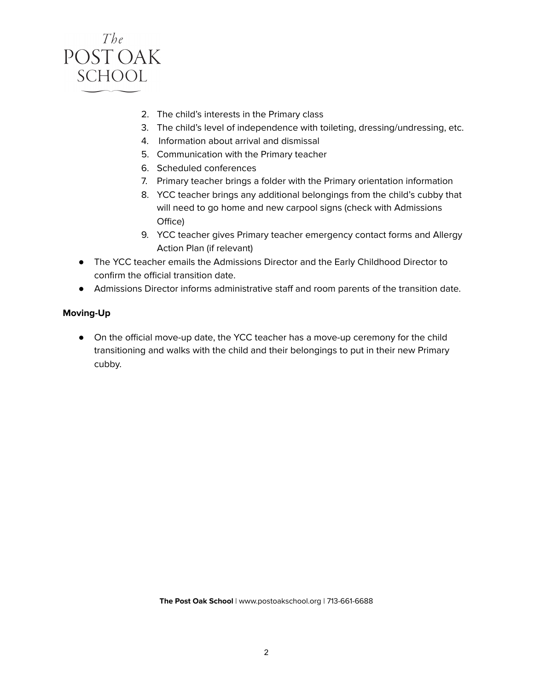

- 2. The child's interests in the Primary class
- 3. The child's level of independence with toileting, dressing/undressing, etc.
- 4. Information about arrival and dismissal
- 5. Communication with the Primary teacher
- 6. Scheduled conferences
- 7. Primary teacher brings a folder with the Primary orientation information
- 8. YCC teacher brings any additional belongings from the child's cubby that will need to go home and new carpool signs (check with Admissions Office)
- 9. YCC teacher gives Primary teacher emergency contact forms and Allergy Action Plan (if relevant)
- The YCC teacher emails the Admissions Director and the Early Childhood Director to confirm the official transition date.
- Admissions Director informs administrative staff and room parents of the transition date.

#### **Moving-Up**

● On the official move-up date, the YCC teacher has a move-up ceremony for the child transitioning and walks with the child and their belongings to put in their new Primary cubby.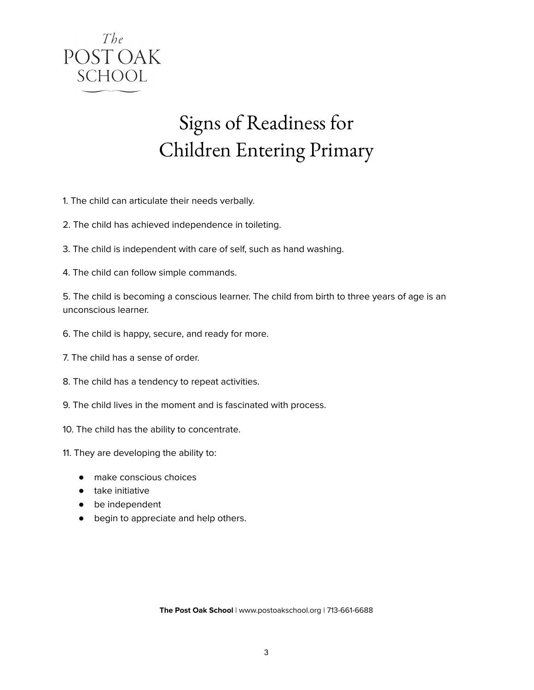

# Signs of Readiness for Children Entering Primary

- 1. The child can articulate their needs verbally.
- 2. The child has achieved independence in toileting.
- 3. The child is independent with care of self, such as hand washing.
- 4. The child can follow simple commands.

5. The child is becoming a conscious learner. The child from birth to three years of age is an unconscious learner.

- 6. The child is happy, secure, and ready for more.
- 7. The child has a sense of order.
- 8. The child has a tendency to repeat activities.
- 9. The child lives in the moment and is fascinated with process.
- 10. The child has the ability to concentrate.
- 11. They are developing the ability to:
	- make conscious choices
	- take initiative
	- be independent
	- begin to appreciate and help others.

**The Post Oak School** | www.postoakschool.org | 713-661-6688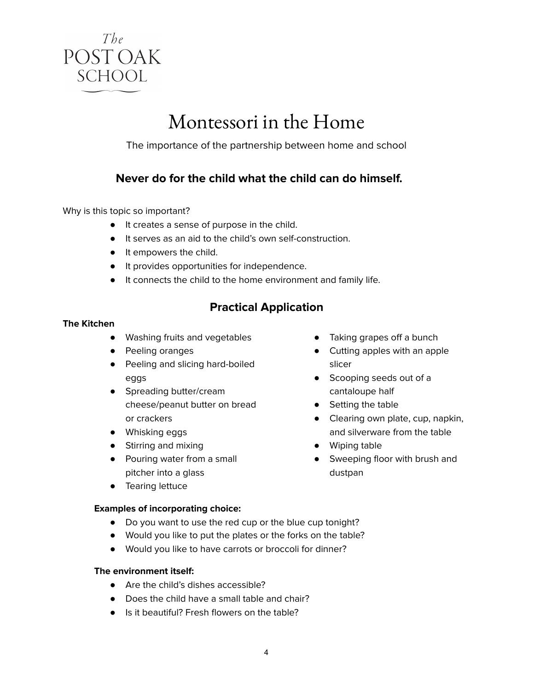

## Montessori in the Home

The importance of the partnership between home and school

### **Never do for the child what the child can do himself.**

Why is this topic so important?

- It creates a sense of purpose in the child.
- It serves as an aid to the child's own self-construction.
- It empowers the child.
- It provides opportunities for independence.
- It connects the child to the home environment and family life.

### **Practical Application**

#### **The Kitchen**

- Washing fruits and vegetables
- Peeling oranges
- Peeling and slicing hard-boiled eggs
- Spreading butter/cream cheese/peanut butter on bread or crackers
- Whisking eggs
- Stirring and mixing
- Pouring water from a small pitcher into a glass
- Tearing lettuce

#### **Examples of incorporating choice:**

- Do you want to use the red cup or the blue cup tonight?
- Would you like to put the plates or the forks on the table?
- Would you like to have carrots or broccoli for dinner?

#### **The environment itself:**

- Are the child's dishes accessible?
- Does the child have a small table and chair?
- Is it beautiful? Fresh flowers on the table?
- Taking grapes off a bunch
- Cutting apples with an apple slicer
- Scooping seeds out of a cantaloupe half
- Setting the table
- Clearing own plate, cup, napkin, and silverware from the table
- Wiping table
- Sweeping floor with brush and dustpan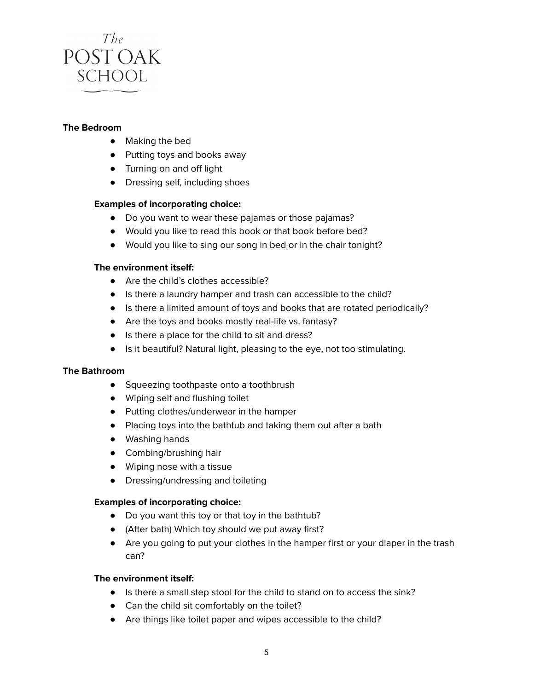

#### **The Bedroom**

- Making the bed
- Putting toys and books away
- Turning on and off light
- Dressing self, including shoes

#### **Examples of incorporating choice:**

- Do you want to wear these pajamas or those pajamas?
- Would you like to read this book or that book before bed?
- Would you like to sing our song in bed or in the chair tonight?

#### **The environment itself:**

- Are the child's clothes accessible?
- Is there a laundry hamper and trash can accessible to the child?
- Is there a limited amount of toys and books that are rotated periodically?
- Are the toys and books mostly real-life vs. fantasy?
- Is there a place for the child to sit and dress?
- Is it beautiful? Natural light, pleasing to the eye, not too stimulating.

#### **The Bathroom**

- Squeezing toothpaste onto a toothbrush
- Wiping self and flushing toilet
- Putting clothes/underwear in the hamper
- Placing toys into the bathtub and taking them out after a bath
- Washing hands
- Combing/brushing hair
- Wiping nose with a tissue
- Dressing/undressing and toileting

#### **Examples of incorporating choice:**

- Do you want this toy or that toy in the bathtub?
- (After bath) Which toy should we put away first?
- Are you going to put your clothes in the hamper first or your diaper in the trash can?

#### **The environment itself:**

- Is there a small step stool for the child to stand on to access the sink?
- Can the child sit comfortably on the toilet?
- Are things like toilet paper and wipes accessible to the child?